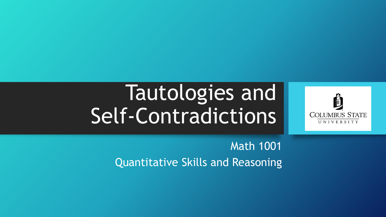# Tautologies and Self-Contradictions



Math 1001 Quantitative Skills and Reasoning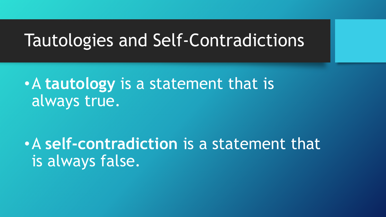#### Tautologies and Self-Contradictions

•A **tautology** is a statement that is always true.

•A **self-contradiction** is a statement that is always false.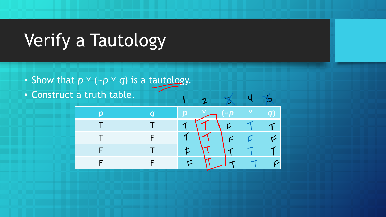## Verify a Tautology

- Show that  $p \vee (-p \vee q)$  is a tautology.
- Construct a truth table.

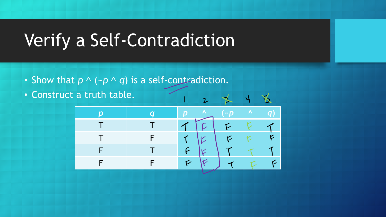### Verify a Self-Contradiction

- Show that  $p \wedge (\neg p \wedge q)$  is a self-contradiction.
- Construct a truth table.